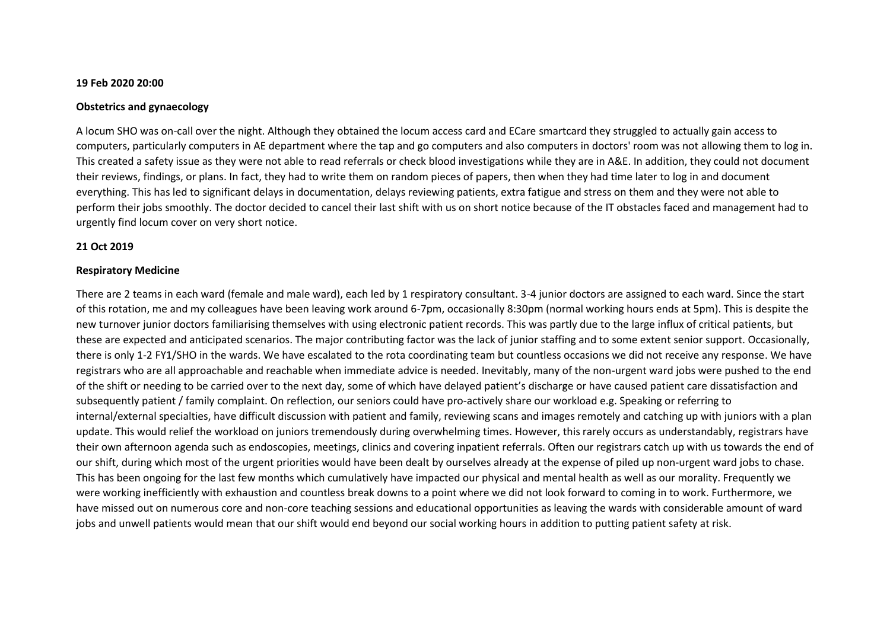#### **19 Feb 2020 20:00**

#### **Obstetrics and gynaecology**

A locum SHO was on-call over the night. Although they obtained the locum access card and ECare smartcard they struggled to actually gain access to computers, particularly computers in AE department where the tap and go computers and also computers in doctors' room was not allowing them to log in. This created a safety issue as they were not able to read referrals or check blood investigations while they are in A&E. In addition, they could not document their reviews, findings, or plans. In fact, they had to write them on random pieces of papers, then when they had time later to log in and document everything. This has led to significant delays in documentation, delays reviewing patients, extra fatigue and stress on them and they were not able to perform their jobs smoothly. The doctor decided to cancel their last shift with us on short notice because of the IT obstacles faced and management had to urgently find locum cover on very short notice.

### **21 Oct 2019**

### **Respiratory Medicine**

There are 2 teams in each ward (female and male ward), each led by 1 respiratory consultant. 3-4 junior doctors are assigned to each ward. Since the start of this rotation, me and my colleagues have been leaving work around 6-7pm, occasionally 8:30pm (normal working hours ends at 5pm). This is despite the new turnover junior doctors familiarising themselves with using electronic patient records. This was partly due to the large influx of critical patients, but these are expected and anticipated scenarios. The major contributing factor was the lack of junior staffing and to some extent senior support. Occasionally, there is only 1-2 FY1/SHO in the wards. We have escalated to the rota coordinating team but countless occasions we did not receive any response. We have registrars who are all approachable and reachable when immediate advice is needed. Inevitably, many of the non-urgent ward jobs were pushed to the end of the shift or needing to be carried over to the next day, some of which have delayed patient's discharge or have caused patient care dissatisfaction and subsequently patient / family complaint. On reflection, our seniors could have pro-actively share our workload e.g. Speaking or referring to internal/external specialties, have difficult discussion with patient and family, reviewing scans and images remotely and catching up with juniors with a plan update. This would relief the workload on juniors tremendously during overwhelming times. However, this rarely occurs as understandably, registrars have their own afternoon agenda such as endoscopies, meetings, clinics and covering inpatient referrals. Often our registrars catch up with us towards the end of our shift, during which most of the urgent priorities would have been dealt by ourselves already at the expense of piled up non-urgent ward jobs to chase. This has been ongoing for the last few months which cumulatively have impacted our physical and mental health as well as our morality. Frequently we were working inefficiently with exhaustion and countless break downs to a point where we did not look forward to coming in to work. Furthermore, we have missed out on numerous core and non-core teaching sessions and educational opportunities as leaving the wards with considerable amount of ward jobs and unwell patients would mean that our shift would end beyond our social working hours in addition to putting patient safety at risk.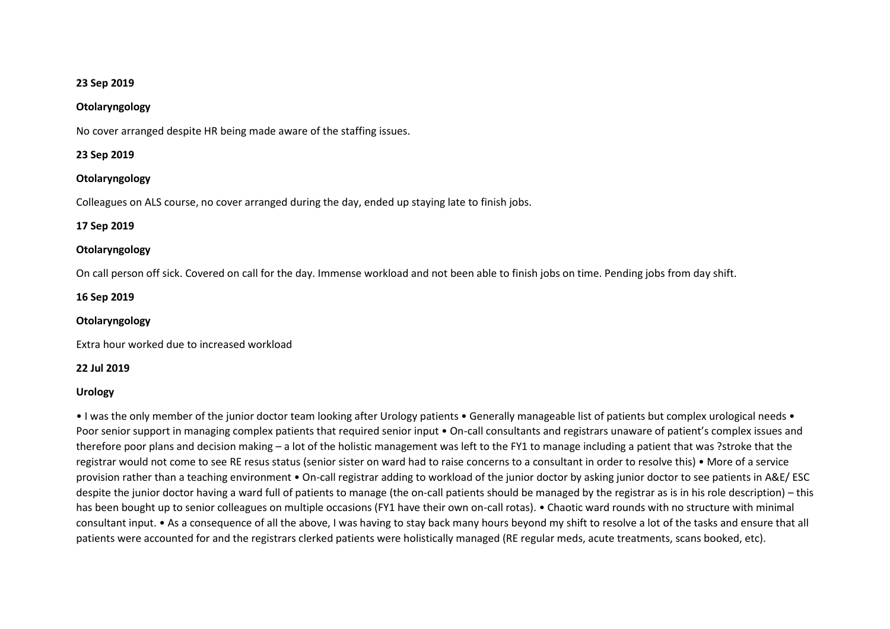### **23 Sep 2019**

#### **Otolaryngology**

No cover arranged despite HR being made aware of the staffing issues.

#### **23 Sep 2019**

### **Otolaryngology**

Colleagues on ALS course, no cover arranged during the day, ended up staying late to finish jobs.

### **17 Sep 2019**

# **Otolaryngology**

On call person off sick. Covered on call for the day. Immense workload and not been able to finish jobs on time. Pending jobs from day shift.

### **16 Sep 2019**

#### **Otolaryngology**

Extra hour worked due to increased workload

### **22 Jul 2019**

### **Urology**

• I was the only member of the junior doctor team looking after Urology patients • Generally manageable list of patients but complex urological needs • Poor senior support in managing complex patients that required senior input • On-call consultants and registrars unaware of patient's complex issues and therefore poor plans and decision making – a lot of the holistic management was left to the FY1 to manage including a patient that was ?stroke that the registrar would not come to see RE resus status (senior sister on ward had to raise concerns to a consultant in order to resolve this) • More of a service provision rather than a teaching environment • On-call registrar adding to workload of the junior doctor by asking junior doctor to see patients in A&E/ ESC despite the junior doctor having a ward full of patients to manage (the on-call patients should be managed by the registrar as is in his role description) – this has been bought up to senior colleagues on multiple occasions (FY1 have their own on-call rotas). • Chaotic ward rounds with no structure with minimal consultant input. • As a consequence of all the above, I was having to stay back many hours beyond my shift to resolve a lot of the tasks and ensure that all patients were accounted for and the registrars clerked patients were holistically managed (RE regular meds, acute treatments, scans booked, etc).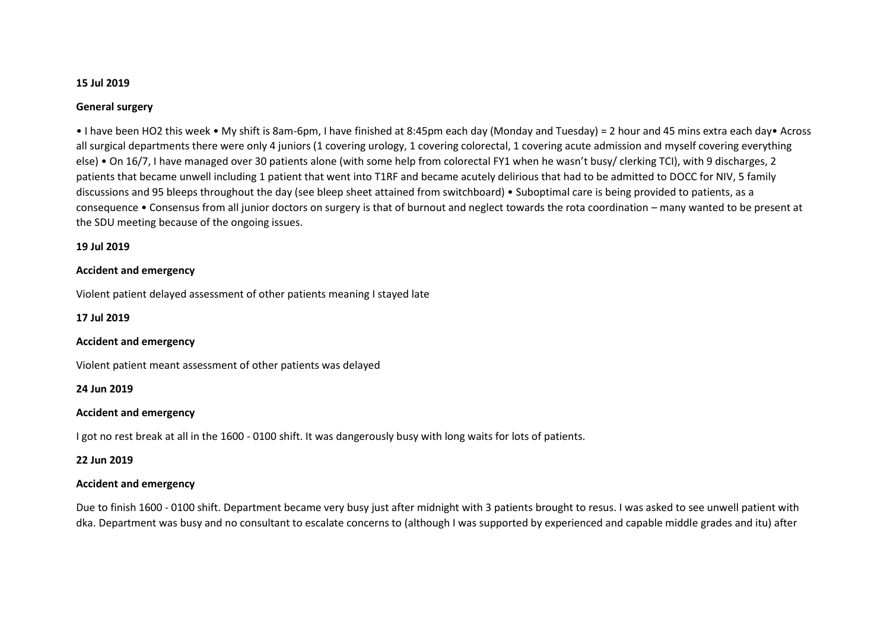### **15 Jul 2019**

## **General surgery**

• I have been HO2 this week • My shift is 8am-6pm, I have finished at 8:45pm each day (Monday and Tuesday) = 2 hour and 45 mins extra each day• Across all surgical departments there were only 4 juniors (1 covering urology, 1 covering colorectal, 1 covering acute admission and myself covering everything else) • On 16/7, I have managed over 30 patients alone (with some help from colorectal FY1 when he wasn't busy/ clerking TCI), with 9 discharges, 2 patients that became unwell including 1 patient that went into T1RF and became acutely delirious that had to be admitted to DOCC for NIV, 5 family discussions and 95 bleeps throughout the day (see bleep sheet attained from switchboard) • Suboptimal care is being provided to patients, as a consequence • Consensus from all junior doctors on surgery is that of burnout and neglect towards the rota coordination – many wanted to be present at the SDU meeting because of the ongoing issues.

### **19 Jul 2019**

## **Accident and emergency**

Violent patient delayed assessment of other patients meaning I stayed late

**17 Jul 2019**

### **Accident and emergency**

Violent patient meant assessment of other patients was delayed

**24 Jun 2019**

# **Accident and emergency**

I got no rest break at all in the 1600 - 0100 shift. It was dangerously busy with long waits for lots of patients.

**22 Jun 2019**

# **Accident and emergency**

Due to finish 1600 - 0100 shift. Department became very busy just after midnight with 3 patients brought to resus. I was asked to see unwell patient with dka. Department was busy and no consultant to escalate concerns to (although I was supported by experienced and capable middle grades and itu) after